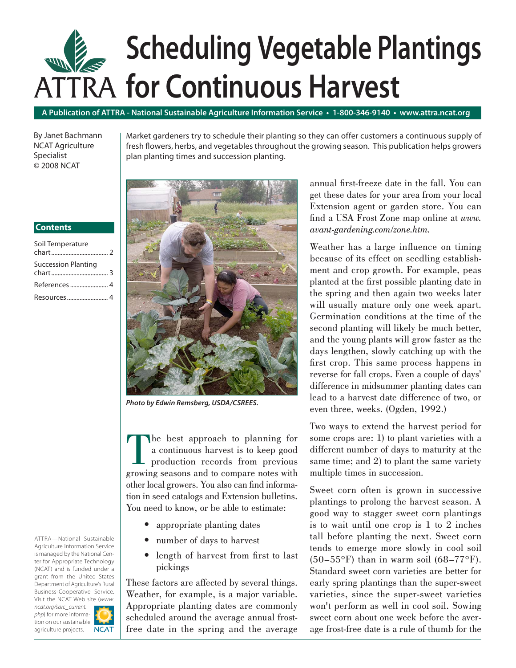# ATTRA **for Continuous Harvest Scheduling Vegetable Plantings**

**A Publication of ATTRA - National Sustainable Agriculture Information Service • 1-800-346-9140 • www.attra.ncat.org**

By Janet Bachmann NCAT Agriculture Specialist © 2008 NCAT

Market gardeners try to schedule their planting so they can offer customers a continuous supply of fresh flowers, herbs, and vegetables throughout the growing season. This publication helps growers plan planting times and succession planting.

#### **Contents**

| Soil Temperature           |  |
|----------------------------|--|
| <b>Succession Planting</b> |  |
|                            |  |
|                            |  |



*Photo by Edwin Remsberg, USDA/CSREES.*

The best approach to planning for<br>a continuous harvest is to keep good<br>production records from previous<br>growing seasons and to compare notes with a continuous harvest is to keep good production records from previous growing seasons and to compare notes with other local growers. You also can find information in seed catalogs and Extension bulletins. You need to know, or be able to estimate:

- appropriate planting dates
- number of days to harvest •
- length of harvest from first to last pickings

These factors are affected by several things. Weather, for example, is a major variable. Appropriate planting dates are commonly scheduled around the average annual frostfree date in the spring and the average annual first-freeze date in the fall. You can get these dates for your area from your local Extension agent or garden store. You can find a USA Frost Zone map online at www. *avant-gardening.com/zone.htm.*

Weather has a large influence on timing because of its effect on seedling establishment and crop growth. For example, peas planted at the first possible planting date in the spring and then again two weeks later will usually mature only one week apart. Germination conditions at the time of the second planting will likely be much better, and the young plants will grow faster as the days lengthen, slowly catching up with the first crop. This same process happens in reverse for fall crops. Even a couple of days' difference in midsummer planting dates can lead to a harvest date difference of two, or even three, weeks. (Ogden, 1992.)

Two ways to extend the harvest period for some crops are: 1) to plant varieties with a different number of days to maturity at the same time; and 2) to plant the same variety multiple times in succession.

Sweet corn often is grown in successive plantings to prolong the harvest season. A good way to stagger sweet corn plantings is to wait until one crop is 1 to 2 inches tall before planting the next. Sweet corn tends to emerge more slowly in cool soil  $(50-55^{\circ}F)$  than in warm soil  $(68-77^{\circ}F)$ . Standard sweet corn varieties are better for early spring plantings than the super-sweet varieties, since the super-sweet varieties won't perform as well in cool soil. Sowing sweet corn about one week before the average frost-free date is a rule of thumb for the

ATTRA—National Sustainable Agriculture Information Service is managed by the National Center for Appropriate Technology (NCAT) and is funded under a grant from the United States Department of Agriculture's Rural Business-Cooperative Service. Visit the NCAT Web site (*www. ncat.org/sarc\_current. php*) for more informa-

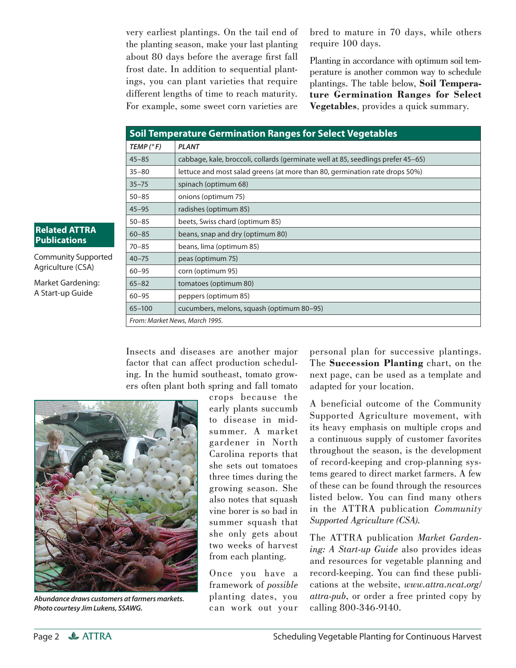very earliest plantings. On the tail end of the planting season, make your last planting about 80 days before the average first fall frost date. In addition to sequential plantings, you can plant varieties that require different lengths of time to reach maturity. For example, some sweet corn varieties are bred to mature in 70 days, while others require 100 days.

Planting in accordance with optimum soil temperature is another common way to schedule plantings. The table below, **Soil Temperature Germination Ranges for Select Vegetables**, provides a quick summary.

| <b>Soil Temperature Germination Ranges for Select Vegetables</b> |                                                                                  |  |  |  |  |  |  |
|------------------------------------------------------------------|----------------------------------------------------------------------------------|--|--|--|--|--|--|
| TEMP (°F)                                                        | <b>PLANT</b>                                                                     |  |  |  |  |  |  |
| $45 - 85$                                                        | cabbage, kale, broccoli, collards (germinate well at 85, seedlings prefer 45-65) |  |  |  |  |  |  |
| $35 - 80$                                                        | lettuce and most salad greens (at more than 80, germination rate drops 50%)      |  |  |  |  |  |  |
| $35 - 75$                                                        | spinach (optimum 68)                                                             |  |  |  |  |  |  |
| $50 - 85$                                                        | onions (optimum 75)                                                              |  |  |  |  |  |  |
| $45 - 95$                                                        | radishes (optimum 85)                                                            |  |  |  |  |  |  |
| $50 - 85$                                                        | beets, Swiss chard (optimum 85)                                                  |  |  |  |  |  |  |
| $60 - 85$                                                        | beans, snap and dry (optimum 80)                                                 |  |  |  |  |  |  |
| $70 - 85$                                                        | beans, lima (optimum 85)                                                         |  |  |  |  |  |  |
| $40 - 75$                                                        | peas (optimum 75)                                                                |  |  |  |  |  |  |
| $60 - 95$                                                        | corn (optimum 95)                                                                |  |  |  |  |  |  |
| $65 - 82$                                                        | tomatoes (optimum 80)                                                            |  |  |  |  |  |  |
| $60 - 95$                                                        | peppers (optimum 85)                                                             |  |  |  |  |  |  |
| $65 - 100$                                                       | cucumbers, melons, squash (optimum 80–95)                                        |  |  |  |  |  |  |
|                                                                  | From: Market News, March 1995.                                                   |  |  |  |  |  |  |

### **Related ATTRA Publications**

Community Supported Agriculture (CSA)

Market Gardening: A Start-up Guide

> Insects and diseases are another major factor that can affect production scheduling. In the humid southeast, tomato growers often plant both spring and fall tomato



*Abundance draws customers at farmers markets. Photo courtesy Jim Lukens, SSAWG.*

crops because the early plants succumb to disease in midsummer. A market gardener in North Carolina reports that she sets out tomatoes three times during the growing season. She also notes that squash vine borer is so bad in summer squash that she only gets about two weeks of harvest from each planting.

Once you have a framework of *possible* planting dates, you can work out your personal plan for successive plantings. The **Succession Planting** chart, on the next page, can be used as a template and adapted for your location.

A beneficial outcome of the Community Supported Agriculture movement, with its heavy emphasis on multiple crops and a continuous supply of customer favorites throughout the season, is the development of record-keeping and crop-planning systems geared to direct market farmers. A few of these can be found through the resources listed below. You can find many others in the ATTRA publication *Community Supported Agriculture (CSA).*

The ATTRA publication *Market Gardening: A Start-up Guide* also provides ideas and resources for vegetable planning and record-keeping. You can find these publications at the website, *www.attra.ncat.org/ attra-pub*, or order a free printed copy by calling 800-346-9140.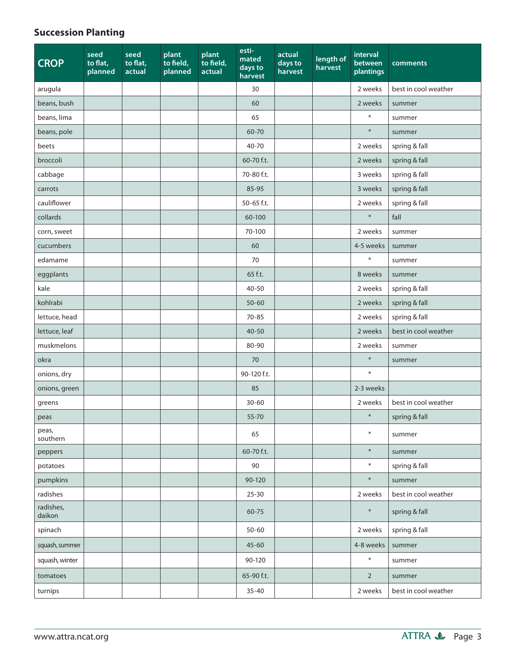## **Succession Planting**

| <b>CROP</b>         | seed<br>to flat,<br>planned | seed<br>to flat,<br>actual | plant<br>to field,<br>planned | plant<br>to field,<br>actual | esti-<br>mated<br>days to<br>harvest | actual<br>days to<br>harvest | length of<br>harvest | interval<br>between<br>plantings | comments             |
|---------------------|-----------------------------|----------------------------|-------------------------------|------------------------------|--------------------------------------|------------------------------|----------------------|----------------------------------|----------------------|
| arugula             |                             |                            |                               |                              | 30                                   |                              |                      | 2 weeks                          | best in cool weather |
| beans, bush         |                             |                            |                               |                              | 60                                   |                              |                      | 2 weeks                          | summer               |
| beans, lima         |                             |                            |                               |                              | 65                                   |                              |                      | $\ast$                           | summer               |
| beans, pole         |                             |                            |                               |                              | 60-70                                |                              |                      | $\ast$                           | summer               |
| beets               |                             |                            |                               |                              | 40-70                                |                              |                      | 2 weeks                          | spring & fall        |
| broccoli            |                             |                            |                               |                              | 60-70 f.t.                           |                              |                      | 2 weeks                          | spring & fall        |
| cabbage             |                             |                            |                               |                              | 70-80 f.t.                           |                              |                      | 3 weeks                          | spring & fall        |
| carrots             |                             |                            |                               |                              | 85-95                                |                              |                      | 3 weeks                          | spring & fall        |
| cauliflower         |                             |                            |                               |                              | 50-65 f.t.                           |                              |                      | 2 weeks                          | spring & fall        |
| collards            |                             |                            |                               |                              | 60-100                               |                              |                      | $\ast$                           | fall                 |
| corn, sweet         |                             |                            |                               |                              | 70-100                               |                              |                      | 2 weeks                          | summer               |
| cucumbers           |                             |                            |                               |                              | 60                                   |                              |                      | 4-5 weeks                        | summer               |
| edamame             |                             |                            |                               |                              | 70                                   |                              |                      | $\ast$                           | summer               |
| eggplants           |                             |                            |                               |                              | 65 f.t.                              |                              |                      | 8 weeks                          | summer               |
| kale                |                             |                            |                               |                              | 40-50                                |                              |                      | 2 weeks                          | spring & fall        |
| kohlrabi            |                             |                            |                               |                              | $50 - 60$                            |                              |                      | 2 weeks                          | spring & fall        |
| lettuce, head       |                             |                            |                               |                              | $70 - 85$                            |                              |                      | 2 weeks                          | spring & fall        |
| lettuce, leaf       |                             |                            |                               |                              | $40 - 50$                            |                              |                      | 2 weeks                          | best in cool weather |
| muskmelons          |                             |                            |                               |                              | 80-90                                |                              |                      | 2 weeks                          | summer               |
| okra                |                             |                            |                               |                              | 70                                   |                              |                      | $\ast$                           | summer               |
| onions, dry         |                             |                            |                               |                              | 90-120 f.t.                          |                              |                      | $\ast$                           |                      |
| onions, green       |                             |                            |                               |                              | 85                                   |                              |                      | 2-3 weeks                        |                      |
| greens              |                             |                            |                               |                              | $30 - 60$                            |                              |                      | 2 weeks                          | best in cool weather |
| peas                |                             |                            |                               |                              | 55-70                                |                              |                      | $\ast$                           | spring & fall        |
| peas,<br>southern   |                             |                            |                               |                              | 65                                   |                              |                      | $\ast$                           | summer               |
| peppers             |                             |                            |                               |                              | 60-70 f.t.                           |                              |                      | $\ast$                           | summer               |
| potatoes            |                             |                            |                               |                              | 90                                   |                              |                      | $\ast$                           | spring & fall        |
| pumpkins            |                             |                            |                               |                              | 90-120                               |                              |                      | $\ast$                           | summer               |
| radishes            |                             |                            |                               |                              | $25 - 30$                            |                              |                      | 2 weeks                          | best in cool weather |
| radishes,<br>daikon |                             |                            |                               |                              | 60-75                                |                              |                      | $\ast$                           | spring & fall        |
| spinach             |                             |                            |                               |                              | $50 - 60$                            |                              |                      | 2 weeks                          | spring & fall        |
| squash, summer      |                             |                            |                               |                              | $45 - 60$                            |                              |                      | 4-8 weeks                        | summer               |
| squash, winter      |                             |                            |                               |                              | 90-120                               |                              |                      | $\ast$                           | summer               |
| tomatoes            |                             |                            |                               |                              | 65-90 f.t.                           |                              |                      | $\overline{2}$                   | summer               |
| turnips             |                             |                            |                               |                              | $35 - 40$                            |                              |                      | 2 weeks                          | best in cool weather |